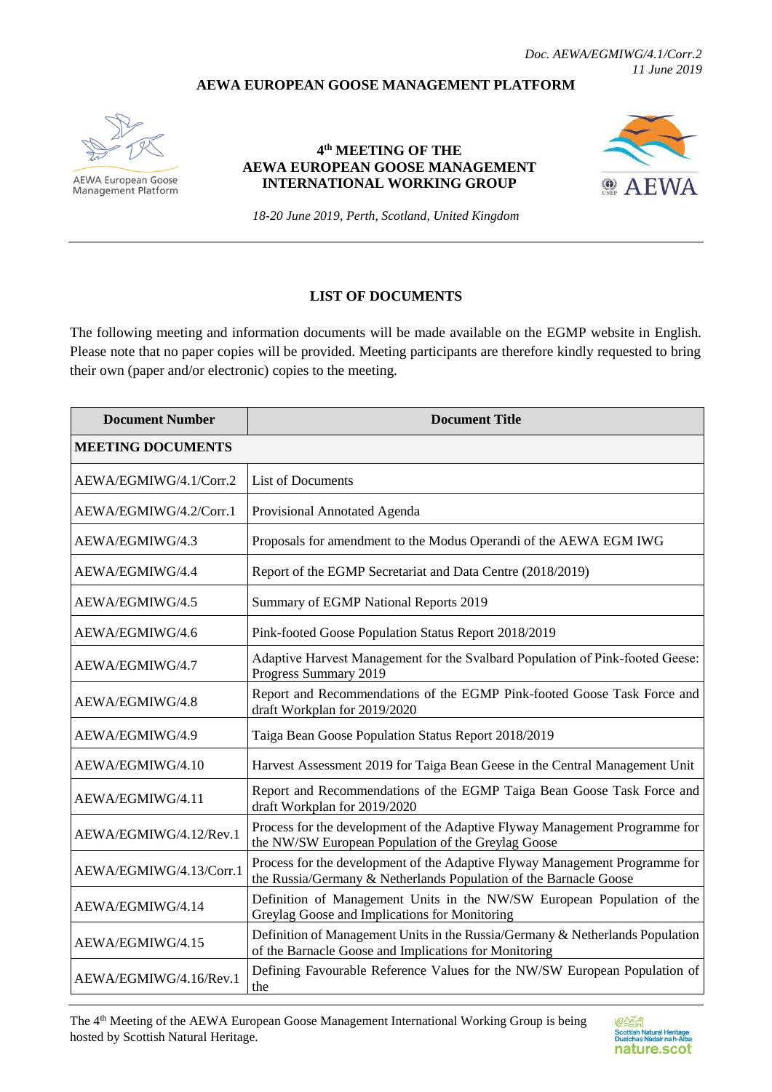## **AEWA EUROPEAN GOOSE MANAGEMENT PLATFORM**



**AEWA European Goose Management Platform** 

## **4 th MEETING OF THE AEWA EUROPEAN GOOSE MANAGEMENT INTERNATIONAL WORKING GROUP**



*18-20 June 2019, Perth, Scotland, United Kingdom*

## **LIST OF DOCUMENTS**

The following meeting and information documents will be made available on the EGMP website in English. Please note that no paper copies will be provided. Meeting participants are therefore kindly requested to bring their own (paper and/or electronic) copies to the meeting.

| <b>Document Number</b>   | <b>Document Title</b>                                                                                                                            |
|--------------------------|--------------------------------------------------------------------------------------------------------------------------------------------------|
| <b>MEETING DOCUMENTS</b> |                                                                                                                                                  |
| AEWA/EGMIWG/4.1/Corr.2   | <b>List of Documents</b>                                                                                                                         |
| AEWA/EGMIWG/4.2/Corr.1   | Provisional Annotated Agenda                                                                                                                     |
| AEWA/EGMIWG/4.3          | Proposals for amendment to the Modus Operandi of the AEWA EGM IWG                                                                                |
| AEWA/EGMIWG/4.4          | Report of the EGMP Secretariat and Data Centre (2018/2019)                                                                                       |
| AEWA/EGMIWG/4.5          | Summary of EGMP National Reports 2019                                                                                                            |
| AEWA/EGMIWG/4.6          | Pink-footed Goose Population Status Report 2018/2019                                                                                             |
| AEWA/EGMIWG/4.7          | Adaptive Harvest Management for the Svalbard Population of Pink-footed Geese:<br>Progress Summary 2019                                           |
| AEWA/EGMIWG/4.8          | Report and Recommendations of the EGMP Pink-footed Goose Task Force and<br>draft Workplan for 2019/2020                                          |
| AEWA/EGMIWG/4.9          | Taiga Bean Goose Population Status Report 2018/2019                                                                                              |
| AEWA/EGMIWG/4.10         | Harvest Assessment 2019 for Taiga Bean Geese in the Central Management Unit                                                                      |
| AEWA/EGMIWG/4.11         | Report and Recommendations of the EGMP Taiga Bean Goose Task Force and<br>draft Workplan for 2019/2020                                           |
| AEWA/EGMIWG/4.12/Rev.1   | Process for the development of the Adaptive Flyway Management Programme for<br>the NW/SW European Population of the Greylag Goose                |
| AEWA/EGMIWG/4.13/Corr.1  | Process for the development of the Adaptive Flyway Management Programme for<br>the Russia/Germany & Netherlands Population of the Barnacle Goose |
| AEWA/EGMIWG/4.14         | Definition of Management Units in the NW/SW European Population of the<br>Greylag Goose and Implications for Monitoring                          |
| AEWA/EGMIWG/4.15         | Definition of Management Units in the Russia/Germany & Netherlands Population<br>of the Barnacle Goose and Implications for Monitoring           |
| AEWA/EGMIWG/4.16/Rev.1   | Defining Favourable Reference Values for the NW/SW European Population of<br>the                                                                 |

The 4th Meeting of the AEWA European Goose Management International Working Group is being hosted by Scottish Natural Heritage.